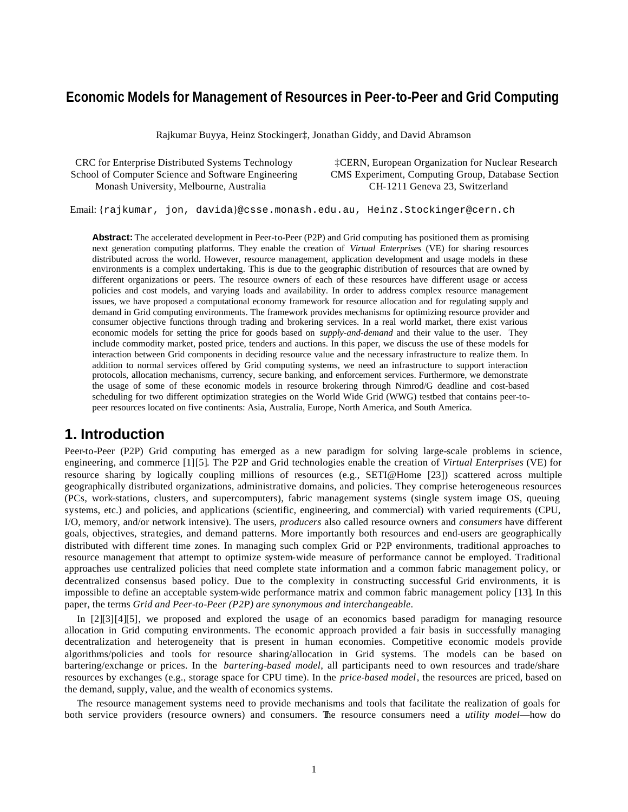## **Economic Models for Management of Resources in Peer-to-Peer and Grid Computing**

Rajkumar Buyya, Heinz Stockinger‡, Jonathan Giddy, and David Abramson

CRC for Enterprise Distributed Systems Technology School of Computer Science and Software Engineering Monash University, Melbourne, Australia

 ‡CERN, European Organization for Nuclear Research CMS Experiment, Computing Group, Database Section CH-1211 Geneva 23, Switzerland

Email: {rajkumar, jon, davida}@csse.monash.edu.au, Heinz.Stockinger@cern.ch

**Abstract:** The accelerated development in Peer-to-Peer (P2P) and Grid computing has positioned them as promising next generation computing platforms. They enable the creation of *Virtual Enterprises* (VE) for sharing resources distributed across the world. However, resource management, application development and usage models in these environments is a complex undertaking. This is due to the geographic distribution of resources that are owned by different organizations or peers. The resource owners of each of these resources have different usage or access policies and cost models, and varying loads and availability. In order to address complex resource management issues, we have proposed a computational economy framework for resource allocation and for regulating supply and demand in Grid computing environments. The framework provides mechanisms for optimizing resource provider and consumer objective functions through trading and brokering services. In a real world market, there exist various economic models for setting the price for goods based on *supply-and-demand* and their value to the user. They include commodity market, posted price, tenders and auctions. In this paper, we discuss the use of these models for interaction between Grid components in deciding resource value and the necessary infrastructure to realize them. In addition to normal services offered by Grid computing systems, we need an infrastructure to support interaction protocols, allocation mechanisms, currency, secure banking, and enforcement services. Furthermore, we demonstrate the usage of some of these economic models in resource brokering through Nimrod/G deadline and cost-based scheduling for two different optimization strategies on the World Wide Grid (WWG) testbed that contains peer-topeer resources located on five continents: Asia, Australia, Europe, North America, and South America.

## **1. Introduction**

Peer-to-Peer (P2P) Grid computing has emerged as a new paradigm for solving large-scale problems in science, engineering, and commerce [1][5]. The P2P and Grid technologies enable the creation of *Virtual Enterprises* (VE) for resource sharing by logically coupling millions of resources (e.g., SETI@Home [23]) scattered across multiple geographically distributed organizations, administrative domains, and policies. They comprise heterogeneous resources (PCs, work-stations, clusters, and supercomputers), fabric management systems (single system image OS, queuing systems, etc.) and policies, and applications (scientific, engineering, and commercial) with varied requirements (CPU, I/O, memory, and/or network intensive). The users, *producers* also called resource owners and *consumers* have different goals, objectives, strategies, and demand patterns. More importantly both resources and end-users are geographically distributed with different time zones. In managing such complex Grid or P2P environments, traditional approaches to resource management that attempt to optimize system-wide measure of performance cannot be employed. Traditional approaches use centralized policies that need complete state information and a common fabric management policy, or decentralized consensus based policy. Due to the complexity in constructing successful Grid environments, it is impossible to define an acceptable system-wide performance matrix and common fabric management policy [13]. In this paper, the terms *Grid and Peer-to-Peer (P2P) are synonymous and interchangeable*.

In [2][3][4][5], we proposed and explored the usage of an economics based paradigm for managing resource allocation in Grid computing environments. The economic approach provided a fair basis in successfully managing decentralization and heterogeneity that is present in human economies. Competitive economic models provide algorithms/policies and tools for resource sharing/allocation in Grid systems. The models can be based on bartering/exchange or prices. In the *bartering-based model*, all participants need to own resources and trade/share resources by exchanges (e.g., storage space for CPU time). In the *price-based model*, the resources are priced, based on the demand, supply, value, and the wealth of economics systems.

The resource management systems need to provide mechanisms and tools that facilitate the realization of goals for both service providers (resource owners) and consumers. The resource consumers need a *utility model*—how do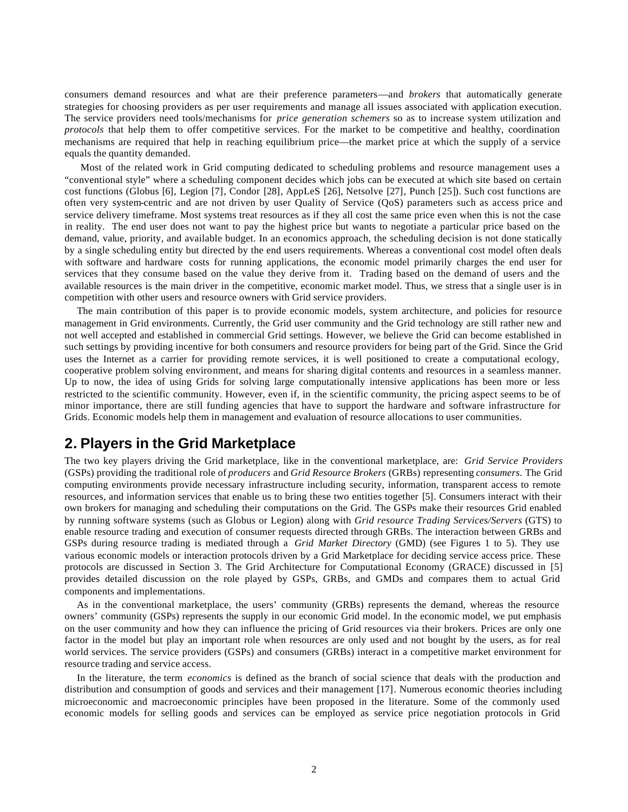consumers demand resources and what are their preference parameters—and *brokers* that automatically generate strategies for choosing providers as per user requirements and manage all issues associated with application execution. The service providers need tools/mechanisms for *price generation schemers* so as to increase system utilization and *protocols* that help them to offer competitive services. For the market to be competitive and healthy, coordination mechanisms are required that help in reaching equilibrium price—the market price at which the supply of a service equals the quantity demanded.

 Most of the related work in Grid computing dedicated to scheduling problems and resource management uses a "conventional style" where a scheduling component decides which jobs can be executed at which site based on certain cost functions (Globus [6], Legion [7], Condor [28], AppLeS [26], Netsolve [27], Punch [25]). Such cost functions are often very system-centric and are not driven by user Quality of Service (QoS) parameters such as access price and service delivery timeframe. Most systems treat resources as if they all cost the same price even when this is not the case in reality. The end user does not want to pay the highest price but wants to negotiate a particular price based on the demand, value, priority, and available budget. In an economics approach, the scheduling decision is not done statically by a single scheduling entity but directed by the end users requirements. Whereas a conventional cost model often deals with software and hardware costs for running applications, the economic model primarily charges the end user for services that they consume based on the value they derive from it. Trading based on the demand of users and the available resources is the main driver in the competitive, economic market model. Thus, we stress that a single user is in competition with other users and resource owners with Grid service providers.

The main contribution of this paper is to provide economic models, system architecture, and policies for resource management in Grid environments. Currently, the Grid user community and the Grid technology are still rather new and not well accepted and established in commercial Grid settings. However, we believe the Grid can become established in such settings by providing incentive for both consumers and resource providers for being part of the Grid. Since the Grid uses the Internet as a carrier for providing remote services, it is well positioned to create a computational ecology, cooperative problem solving environment, and means for sharing digital contents and resources in a seamless manner. Up to now, the idea of using Grids for solving large computationally intensive applications has been more or less restricted to the scientific community. However, even if, in the scientific community, the pricing aspect seems to be of minor importance, there are still funding agencies that have to support the hardware and software infrastructure for Grids. Economic models help them in management and evaluation of resource allocations to user communities.

## **2. Players in the Grid Marketplace**

The two key players driving the Grid marketplace, like in the conventional marketplace, are: *Grid Service Providers* (GSPs) providing the traditional role of *producers* and *Grid Resource Brokers* (GRBs) representing *consumers*. The Grid computing environments provide necessary infrastructure including security, information, transparent access to remote resources, and information services that enable us to bring these two entities together [5]. Consumers interact with their own brokers for managing and scheduling their computations on the Grid. The GSPs make their resources Grid enabled by running software systems (such as Globus or Legion) along with *Grid resource Trading Services/Servers* (GTS) to enable resource trading and execution of consumer requests directed through GRBs. The interaction between GRBs and GSPs during resource trading is mediated through a *Grid Market Directory* (GMD) (see Figures 1 to 5). They use various economic models or interaction protocols driven by a Grid Marketplace for deciding service access price. These protocols are discussed in Section 3. The Grid Architecture for Computational Economy (GRACE) discussed in [5] provides detailed discussion on the role played by GSPs, GRBs, and GMDs and compares them to actual Grid components and implementations.

As in the conventional marketplace, the users' community (GRBs) represents the demand, whereas the resource owners' community (GSPs) represents the supply in our economic Grid model. In the economic model, we put emphasis on the user community and how they can influence the pricing of Grid resources via their brokers. Prices are only one factor in the model but play an important role when resources are only used and not bought by the users, as for real world services. The service providers (GSPs) and consumers (GRBs) interact in a competitive market environment for resource trading and service access.

In the literature, the term *economics* is defined as the branch of social science that deals with the production and distribution and consumption of goods and services and their management [17]. Numerous economic theories including microeconomic and macroeconomic principles have been proposed in the literature. Some of the commonly used economic models for selling goods and services can be employed as service price negotiation protocols in Grid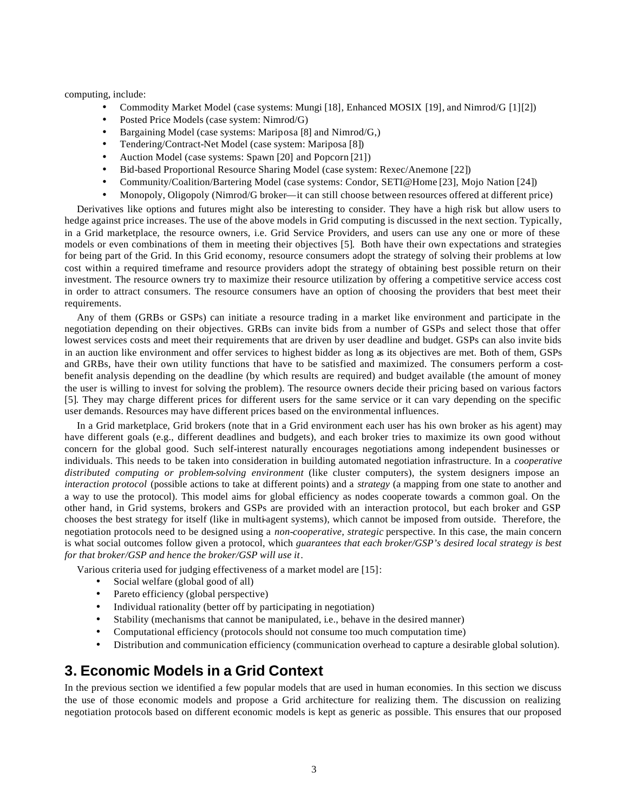computing, include:

- Commodity Market Model (case systems: Mungi [18], Enhanced MOSIX [19], and Nimrod/G [1][2])
- Posted Price Models (case system: Nimrod/G)
- Bargaining Model (case systems: Mariposa [8] and Nimrod/G,)
- Tendering/Contract-Net Model (case system: Mariposa [8])
- Auction Model (case systems: Spawn [20] and Popcorn [21])
- Bid-based Proportional Resource Sharing Model (case system: Rexec/Anemone [22])
- Community/Coalition/Bartering Model (case systems: Condor, SETI@Home [23], Mojo Nation [24])
- Monopoly, Oligopoly (Nimrod/G broker—it can still choose between resources offered at different price)

Derivatives like options and futures might also be interesting to consider. They have a high risk but allow users to hedge against price increases. The use of the above models in Grid computing is discussed in the next section. Typically, in a Grid marketplace, the resource owners, i.e. Grid Service Providers, and users can use any one or more of these models or even combinations of them in meeting their objectives [5]. Both have their own expectations and strategies for being part of the Grid. In this Grid economy, resource consumers adopt the strategy of solving their problems at low cost within a required timeframe and resource providers adopt the strategy of obtaining best possible return on their investment. The resource owners try to maximize their resource utilization by offering a competitive service access cost in order to attract consumers. The resource consumers have an option of choosing the providers that best meet their requirements.

Any of them (GRBs or GSPs) can initiate a resource trading in a market like environment and participate in the negotiation depending on their objectives. GRBs can invite bids from a number of GSPs and select those that offer lowest services costs and meet their requirements that are driven by user deadline and budget. GSPs can also invite bids in an auction like environment and offer services to highest bidder as long as its objectives are met. Both of them, GSPs and GRBs, have their own utility functions that have to be satisfied and maximized. The consumers perform a costbenefit analysis depending on the deadline (by which results are required) and budget available (the amount of money the user is willing to invest for solving the problem). The resource owners decide their pricing based on various factors [5]. They may charge different prices for different users for the same service or it can vary depending on the specific user demands. Resources may have different prices based on the environmental influences.

In a Grid marketplace, Grid brokers (note that in a Grid environment each user has his own broker as his agent) may have different goals (e.g., different deadlines and budgets), and each broker tries to maximize its own good without concern for the global good. Such self-interest naturally encourages negotiations among independent businesses or individuals. This needs to be taken into consideration in building automated negotiation infrastructure. In a *cooperative distributed computing or problem-solving environment* (like cluster computers), the system designers impose an *interaction protocol* (possible actions to take at different points) and a *strategy* (a mapping from one state to another and a way to use the protocol). This model aims for global efficiency as nodes cooperate towards a common goal. On the other hand, in Grid systems, brokers and GSPs are provided with an interaction protocol, but each broker and GSP chooses the best strategy for itself (like in multi-agent systems), which cannot be imposed from outside. Therefore, the negotiation protocols need to be designed using a *non-cooperative, strategic* perspective. In this case, the main concern is what social outcomes follow given a protocol, which *guarantees that each broker/GSP's desired local strategy is best for that broker/GSP and hence the broker/GSP will use it*.

Various criteria used for judging effectiveness of a market model are [15]:

- Social welfare (global good of all)
- Pareto efficiency (global perspective)
- Individual rationality (better off by participating in negotiation)
- Stability (mechanisms that cannot be manipulated, i.e., behave in the desired manner)
- Computational efficiency (protocols should not consume too much computation time)
- Distribution and communication efficiency (communication overhead to capture a desirable global solution).

## **3. Economic Models in a Grid Context**

In the previous section we identified a few popular models that are used in human economies. In this section we discuss the use of those economic models and propose a Grid architecture for realizing them. The discussion on realizing negotiation protocols based on different economic models is kept as generic as possible. This ensures that our proposed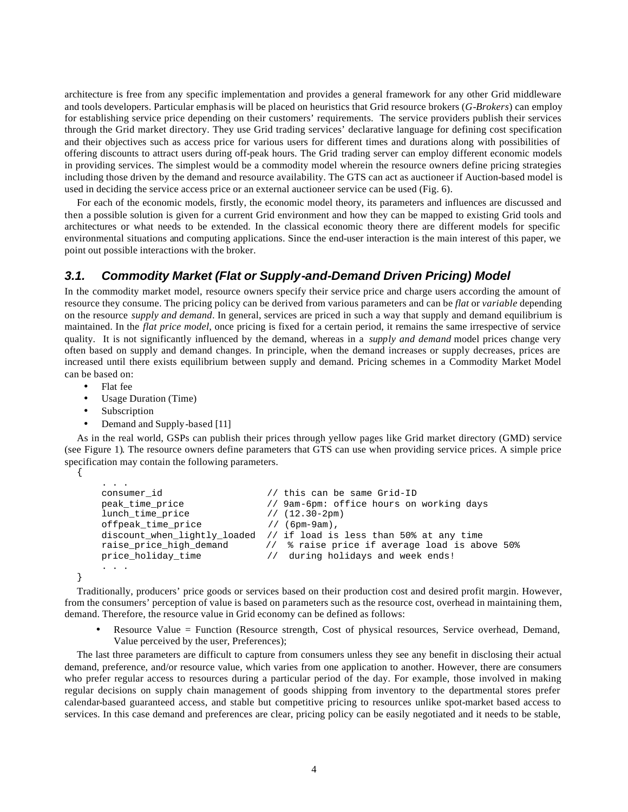architecture is free from any specific implementation and provides a general framework for any other Grid middleware and tools developers. Particular emphasis will be placed on heuristics that Grid resource brokers (*G-Brokers*) can employ for establishing service price depending on their customers' requirements. The service providers publish their services through the Grid market directory. They use Grid trading services' declarative language for defining cost specification and their objectives such as access price for various users for different times and durations along with possibilities of offering discounts to attract users during off-peak hours. The Grid trading server can employ different economic models in providing services. The simplest would be a commodity model wherein the resource owners define pricing strategies including those driven by the demand and resource availability. The GTS can act as auctioneer if Auction-based model is used in deciding the service access price or an external auctioneer service can be used (Fig. 6).

For each of the economic models, firstly, the economic model theory, its parameters and influences are discussed and then a possible solution is given for a current Grid environment and how they can be mapped to existing Grid tools and architectures or what needs to be extended. In the classical economic theory there are different models for specific environmental situations and computing applications. Since the end-user interaction is the main interest of this paper, we point out possible interactions with the broker.

## *3.1. Commodity Market (Flat or Supply-and-Demand Driven Pricing) Model*

In the commodity market model, resource owners specify their service price and charge users according the amount of resource they consume. The pricing policy can be derived from various parameters and can be *flat* or *variable* depending on the resource *supply and demand*. In general, services are priced in such a way that supply and demand equilibrium is maintained. In the *flat price model*, once pricing is fixed for a certain period, it remains the same irrespective of service quality. It is not significantly influenced by the demand, whereas in a *supply and demand* model prices change very often based on supply and demand changes. In principle, when the demand increases or supply decreases, prices are increased until there exists equilibrium between supply and demand. Pricing schemes in a Commodity Market Model can be based on:

- Flat fee
- Usage Duration (Time)
- **Subscription**
- Demand and Supply-based [11]

As in the real world, GSPs can publish their prices through yellow pages like Grid market directory (GMD) service (see Figure 1). The resource owners define parameters that GTS can use when providing service prices. A simple price specification may contain the following parameters.

```
{
     . . .
    consumer_id // this can be same Grid-ID
    peak_time_price // 9am-6pm: office hours on working days<br>
lunch_time_price // (12.30-2pm)
     lunch_time_price
    offpeak_time_price // (6pm-9am),
    discount_when_lightly_loaded // if load is less than 50% at any time<br>raise_price_high_demand // % raise price if average load is abo
                                      // % raise price if average load is above 50%
    price_holiday_time // during holidays and week ends!
     . . .
}
```
Traditionally, producers' price goods or services based on their production cost and desired profit margin. However, from the consumers' perception of value is based on parameters such as the resource cost, overhead in maintaining them, demand. Therefore, the resource value in Grid economy can be defined as follows:

• Resource Value = Function (Resource strength, Cost of physical resources, Service overhead, Demand, Value perceived by the user, Preferences);

The last three parameters are difficult to capture from consumers unless they see any benefit in disclosing their actual demand, preference, and/or resource value, which varies from one application to another. However, there are consumers who prefer regular access to resources during a particular period of the day. For example, those involved in making regular decisions on supply chain management of goods shipping from inventory to the departmental stores prefer calendar-based guaranteed access, and stable but competitive pricing to resources unlike spot-market based access to services. In this case demand and preferences are clear, pricing policy can be easily negotiated and it needs to be stable,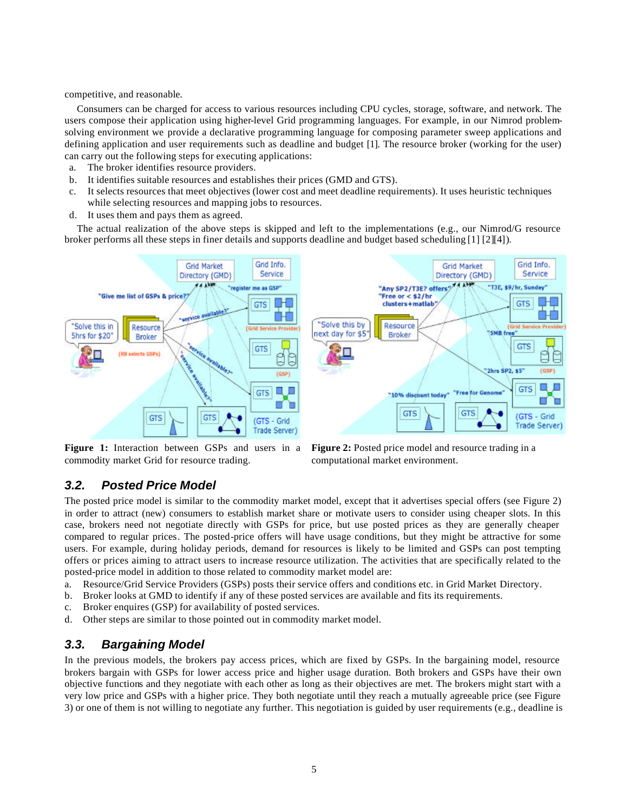competitive, and reasonable.

Consumers can be charged for access to various resources including CPU cycles, storage, software, and network. The users compose their application using higher-level Grid programming languages. For example, in our Nimrod problemsolving environment we provide a declarative programming language for composing parameter sweep applications and defining application and user requirements such as deadline and budget [1]. The resource broker (working for the user) can carry out the following steps for executing applications:

- a. The broker identifies resource providers.
- b. It identifies suitable resources and establishes their prices (GMD and GTS).
- c. It selects resources that meet objectives (lower cost and meet deadline requirements). It uses heuristic techniques while selecting resources and mapping jobs to resources.
- d. It uses them and pays them as agreed.

The actual realization of the above steps is skipped and left to the implementations (e.g., our Nimrod/G resource broker performs all these steps in finer details and supports deadline and budget based scheduling [1] [2][4]).



**Figure 1:** Interaction between GSPs and users in a commodity market Grid for resource trading.

**Figure 2:** Posted price model and resource trading in a computational market environment.

## *3.2. Posted Price Model*

The posted price model is similar to the commodity market model, except that it advertises special offers (see Figure 2) in order to attract (new) consumers to establish market share or motivate users to consider using cheaper slots. In this case, brokers need not negotiate directly with GSPs for price, but use posted prices as they are generally cheaper compared to regular prices. The posted-price offers will have usage conditions, but they might be attractive for some users. For example, during holiday periods, demand for resources is likely to be limited and GSPs can post tempting offers or prices aiming to attract users to increase resource utilization. The activities that are specifically related to the posted-price model in addition to those related to commodity market model are:

- a. Resource/Grid Service Providers (GSPs) posts their service offers and conditions etc. in Grid Market Directory.
- b. Broker looks at GMD to identify if any of these posted services are available and fits its requirements.
- c. Broker enquires (GSP) for availability of posted services.
- d. Other steps are similar to those pointed out in commodity market model.

## *3.3. Bargaining Model*

In the previous models, the brokers pay access prices, which are fixed by GSPs. In the bargaining model, resource brokers bargain with GSPs for lower access price and higher usage duration. Both brokers and GSPs have their own objective functions and they negotiate with each other as long as their objectives are met. The brokers might start with a very low price and GSPs with a higher price. They both negotiate until they reach a mutually agreeable price (see Figure 3) or one of them is not willing to negotiate any further. This negotiation is guided by user requirements (e.g., deadline is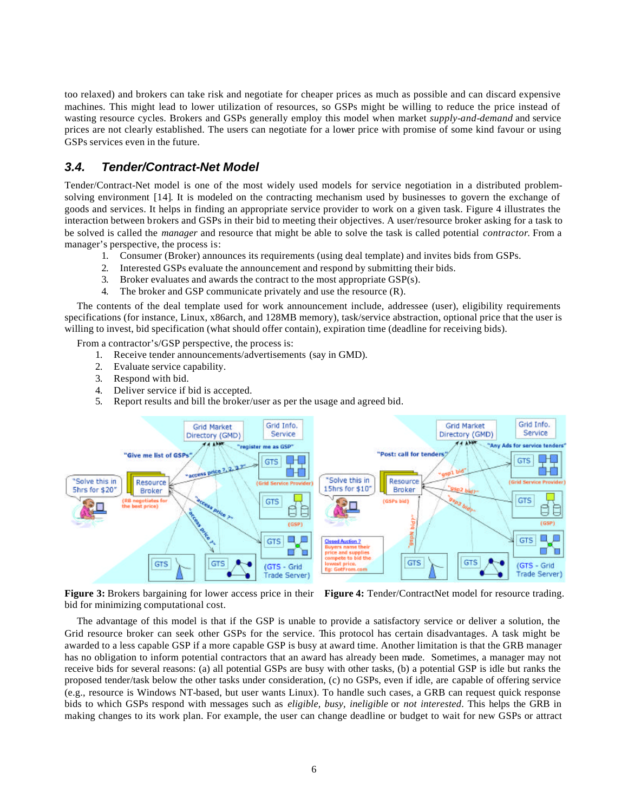too relaxed) and brokers can take risk and negotiate for cheaper prices as much as possible and can discard expensive machines. This might lead to lower utilization of resources, so GSPs might be willing to reduce the price instead of wasting resource cycles. Brokers and GSPs generally employ this model when market *supply-and-demand* and service prices are not clearly established. The users can negotiate for a lower price with promise of some kind favour or using GSPs services even in the future.

## *3.4. Tender/Contract-Net Model*

Tender/Contract-Net model is one of the most widely used models for service negotiation in a distributed problemsolving environment [14]. It is modeled on the contracting mechanism used by businesses to govern the exchange of goods and services. It helps in finding an appropriate service provider to work on a given task. Figure 4 illustrates the interaction between brokers and GSPs in their bid to meeting their objectives. A user/resource broker asking for a task to be solved is called the *manager* and resource that might be able to solve the task is called potential *contractor*. From a manager's perspective, the process is:

- 1. Consumer (Broker) announces its requirements (using deal template) and invites bids from GSPs.
- 2. Interested GSPs evaluate the announcement and respond by submitting their bids.
- 3. Broker evaluates and awards the contract to the most appropriate GSP(s).
- 4. The broker and GSP communicate privately and use the resource (R).

The contents of the deal template used for work announcement include, addressee (user), eligibility requirements specifications (for instance, Linux, x86arch, and 128MB memory), task/service abstraction, optional price that the user is willing to invest, bid specification (what should offer contain), expiration time (deadline for receiving bids).

From a contractor's/GSP perspective, the process is:

- 1. Receive tender announcements/advertisements (say in GMD).
- 2. Evaluate service capability.
- 3. Respond with bid.
- 4. Deliver service if bid is accepted.
- 5. Report results and bill the broker/user as per the usage and agreed bid.



**Figure 3:** Brokers bargaining for lower access price in their bid for minimizing computational cost.

Figure 4: Tender/ContractNet model for resource trading.

The advantage of this model is that if the GSP is unable to provide a satisfactory service or deliver a solution, the Grid resource broker can seek other GSPs for the service. This protocol has certain disadvantages. A task might be awarded to a less capable GSP if a more capable GSP is busy at award time. Another limitation is that the GRB manager has no obligation to inform potential contractors that an award has already been made. Sometimes, a manager may not receive bids for several reasons: (a) all potential GSPs are busy with other tasks, (b) a potential GSP is idle but ranks the proposed tender/task below the other tasks under consideration, (c) no GSPs, even if idle, are capable of offering service (e.g., resource is Windows NT-based, but user wants Linux). To handle such cases, a GRB can request quick response bids to which GSPs respond with messages such as *eligible, busy, ineligible* or *not interested*. This helps the GRB in making changes to its work plan. For example, the user can change deadline or budget to wait for new GSPs or attract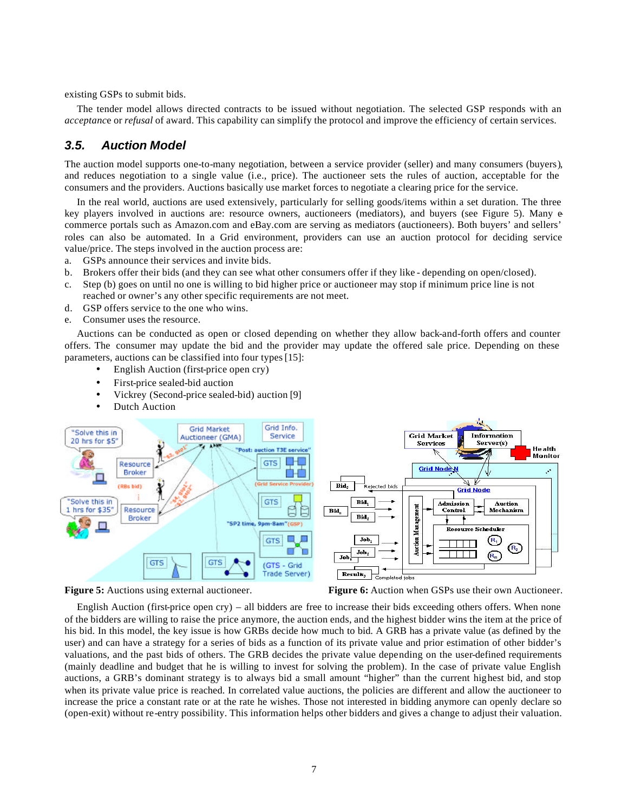existing GSPs to submit bids.

The tender model allows directed contracts to be issued without negotiation. The selected GSP responds with an *acceptanc*e or *refusal* of award. This capability can simplify the protocol and improve the efficiency of certain services.

#### *3.5. Auction Model*

The auction model supports one-to-many negotiation, between a service provider (seller) and many consumers (buyers), and reduces negotiation to a single value (i.e., price). The auctioneer sets the rules of auction, acceptable for the consumers and the providers. Auctions basically use market forces to negotiate a clearing price for the service.

In the real world, auctions are used extensively, particularly for selling goods/items within a set duration. The three key players involved in auctions are: resource owners, auctioneers (mediators), and buyers (see Figure 5). Many ecommerce portals such as Amazon.com and eBay.com are serving as mediators (auctioneers). Both buyers' and sellers' roles can also be automated. In a Grid environment, providers can use an auction protocol for deciding service value/price. The steps involved in the auction process are:

- a. GSPs announce their services and invite bids.
- b. Brokers offer their bids (and they can see what other consumers offer if they like depending on open/closed).
- c. Step (b) goes on until no one is willing to bid higher price or auctioneer may stop if minimum price line is not reached or owner's any other specific requirements are not meet.
- d. GSP offers service to the one who wins.
- e. Consumer uses the resource.

Auctions can be conducted as open or closed depending on whether they allow back-and-forth offers and counter offers. The consumer may update the bid and the provider may update the offered sale price. Depending on these parameters, auctions can be classified into four types [15]:

- English Auction (first-price open cry)
- First-price sealed-bid auction
- Vickrey (Second-price sealed-bid) auction [9]
- Dutch Auction





**Figure 5:** Auctions using external auctioneer. **Figure 6:** Auction when GSPs use their own Auctioneer.

English Auction (first-price open cry) – all bidders are free to increase their bids exceeding others offers. When none of the bidders are willing to raise the price anymore, the auction ends, and the highest bidder wins the item at the price of his bid. In this model, the key issue is how GRBs decide how much to bid. A GRB has a private value (as defined by the user) and can have a strategy for a series of bids as a function of its private value and prior estimation of other bidder's valuations, and the past bids of others. The GRB decides the private value depending on the user-defined requirements (mainly deadline and budget that he is willing to invest for solving the problem). In the case of private value English auctions, a GRB's dominant strategy is to always bid a small amount "higher" than the current highest bid, and stop when its private value price is reached. In correlated value auctions, the policies are different and allow the auctioneer to increase the price a constant rate or at the rate he wishes. Those not interested in bidding anymore can openly declare so (open-exit) without re-entry possibility. This information helps other bidders and gives a change to adjust their valuation.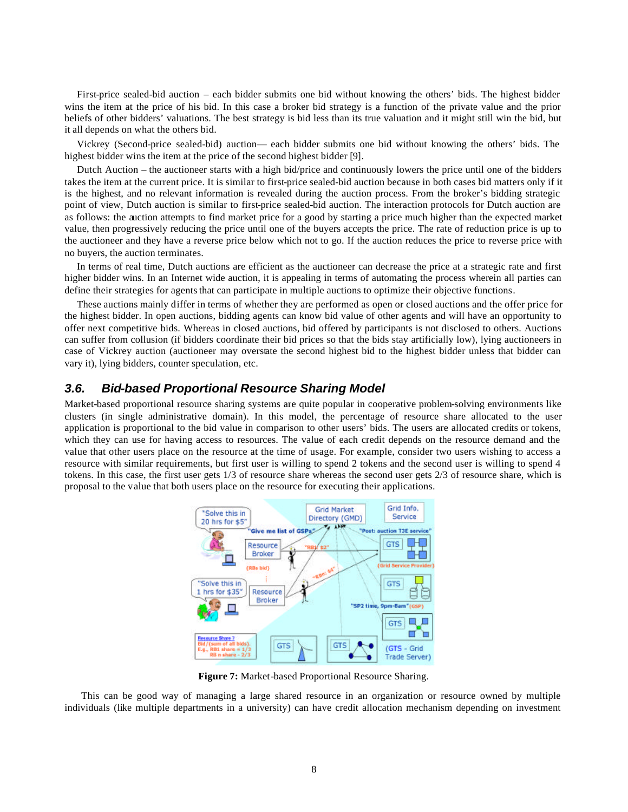First-price sealed-bid auction – each bidder submits one bid without knowing the others' bids. The highest bidder wins the item at the price of his bid. In this case a broker bid strategy is a function of the private value and the prior beliefs of other bidders' valuations. The best strategy is bid less than its true valuation and it might still win the bid, but it all depends on what the others bid.

Vickrey (Second-price sealed-bid) auction— each bidder submits one bid without knowing the others' bids. The highest bidder wins the item at the price of the second highest bidder [9].

Dutch Auction – the auctioneer starts with a high bid/price and continuously lowers the price until one of the bidders takes the item at the current price. It is similar to first-price sealed-bid auction because in both cases bid matters only if it is the highest, and no relevant information is revealed during the auction process. From the broker's bidding strategic point of view, Dutch auction is similar to first-price sealed-bid auction. The interaction protocols for Dutch auction are as follows: the auction attempts to find market price for a good by starting a price much higher than the expected market value, then progressively reducing the price until one of the buyers accepts the price. The rate of reduction price is up to the auctioneer and they have a reverse price below which not to go. If the auction reduces the price to reverse price with no buyers, the auction terminates.

In terms of real time, Dutch auctions are efficient as the auctioneer can decrease the price at a strategic rate and first higher bidder wins. In an Internet wide auction, it is appealing in terms of automating the process wherein all parties can define their strategies for agents that can participate in multiple auctions to optimize their objective functions.

These auctions mainly differ in terms of whether they are performed as open or closed auctions and the offer price for the highest bidder. In open auctions, bidding agents can know bid value of other agents and will have an opportunity to offer next competitive bids. Whereas in closed auctions, bid offered by participants is not disclosed to others. Auctions can suffer from collusion (if bidders coordinate their bid prices so that the bids stay artificially low), lying auctioneers in case of Vickrey auction (auctioneer may overstate the second highest bid to the highest bidder unless that bidder can vary it), lying bidders, counter speculation, etc.

#### *3.6. Bid-based Proportional Resource Sharing Model*

Market-based proportional resource sharing systems are quite popular in cooperative problem-solving environments like clusters (in single administrative domain). In this model, the percentage of resource share allocated to the user application is proportional to the bid value in comparison to other users' bids. The users are allocated credits or tokens, which they can use for having access to resources. The value of each credit depends on the resource demand and the value that other users place on the resource at the time of usage. For example, consider two users wishing to access a resource with similar requirements, but first user is willing to spend 2 tokens and the second user is willing to spend 4 tokens. In this case, the first user gets 1/3 of resource share whereas the second user gets 2/3 of resource share, which is proposal to the value that both users place on the resource for executing their applications.



**Figure 7:** Market-based Proportional Resource Sharing.

 This can be good way of managing a large shared resource in an organization or resource owned by multiple individuals (like multiple departments in a university) can have credit allocation mechanism depending on investment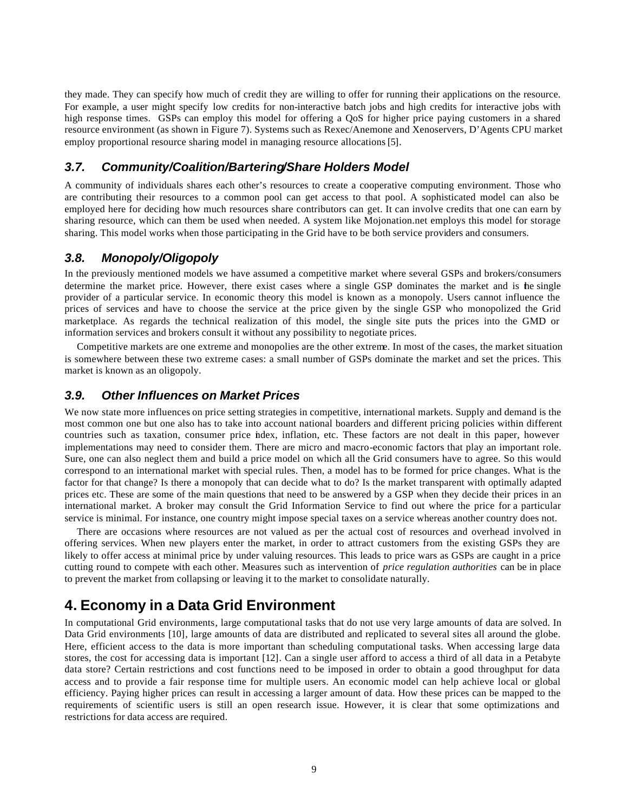they made. They can specify how much of credit they are willing to offer for running their applications on the resource. For example, a user might specify low credits for non-interactive batch jobs and high credits for interactive jobs with high response times. GSPs can employ this model for offering a QoS for higher price paying customers in a shared resource environment (as shown in Figure 7). Systems such as Rexec/Anemone and Xenoservers, D'Agents CPU market employ proportional resource sharing model in managing resource allocations [5].

#### *3.7. Community/Coalition/Bartering/Share Holders Model*

A community of individuals shares each other's resources to create a cooperative computing environment. Those who are contributing their resources to a common pool can get access to that pool. A sophisticated model can also be employed here for deciding how much resources share contributors can get. It can involve credits that one can earn by sharing resource, which can them be used when needed. A system like Mojonation.net employs this model for storage sharing. This model works when those participating in the Grid have to be both service providers and consumers.

## *3.8. Monopoly/Oligopoly*

In the previously mentioned models we have assumed a competitive market where several GSPs and brokers/consumers determine the market price. However, there exist cases where a single GSP dominates the market and is the single provider of a particular service. In economic theory this model is known as a monopoly. Users cannot influence the prices of services and have to choose the service at the price given by the single GSP who monopolized the Grid marketplace. As regards the technical realization of this model, the single site puts the prices into the GMD or information services and brokers consult it without any possibility to negotiate prices.

Competitive markets are one extreme and monopolies are the other extreme. In most of the cases, the market situation is somewhere between these two extreme cases: a small number of GSPs dominate the market and set the prices. This market is known as an oligopoly.

#### *3.9. Other Influences on Market Prices*

We now state more influences on price setting strategies in competitive, international markets. Supply and demand is the most common one but one also has to take into account national boarders and different pricing policies within different countries such as taxation, consumer price index, inflation, etc. These factors are not dealt in this paper, however implementations may need to consider them. There are micro and macro-economic factors that play an important role. Sure, one can also neglect them and build a price model on which all the Grid consumers have to agree. So this would correspond to an international market with special rules. Then, a model has to be formed for price changes. What is the factor for that change? Is there a monopoly that can decide what to do? Is the market transparent with optimally adapted prices etc. These are some of the main questions that need to be answered by a GSP when they decide their prices in an international market. A broker may consult the Grid Information Service to find out where the price for a particular service is minimal. For instance, one country might impose special taxes on a service whereas another country does not.

There are occasions where resources are not valued as per the actual cost of resources and overhead involved in offering services. When new players enter the market, in order to attract customers from the existing GSPs they are likely to offer access at minimal price by under valuing resources. This leads to price wars as GSPs are caught in a price cutting round to compete with each other. Measures such as intervention of *price regulation authorities* can be in place to prevent the market from collapsing or leaving it to the market to consolidate naturally.

# **4. Economy in a Data Grid Environment**

In computational Grid environments, large computational tasks that do not use very large amounts of data are solved. In Data Grid environments [10], large amounts of data are distributed and replicated to several sites all around the globe. Here, efficient access to the data is more important than scheduling computational tasks. When accessing large data stores, the cost for accessing data is important [12]. Can a single user afford to access a third of all data in a Petabyte data store? Certain restrictions and cost functions need to be imposed in order to obtain a good throughput for data access and to provide a fair response time for multiple users. An economic model can help achieve local or global efficiency. Paying higher prices can result in accessing a larger amount of data. How these prices can be mapped to the requirements of scientific users is still an open research issue. However, it is clear that some optimizations and restrictions for data access are required.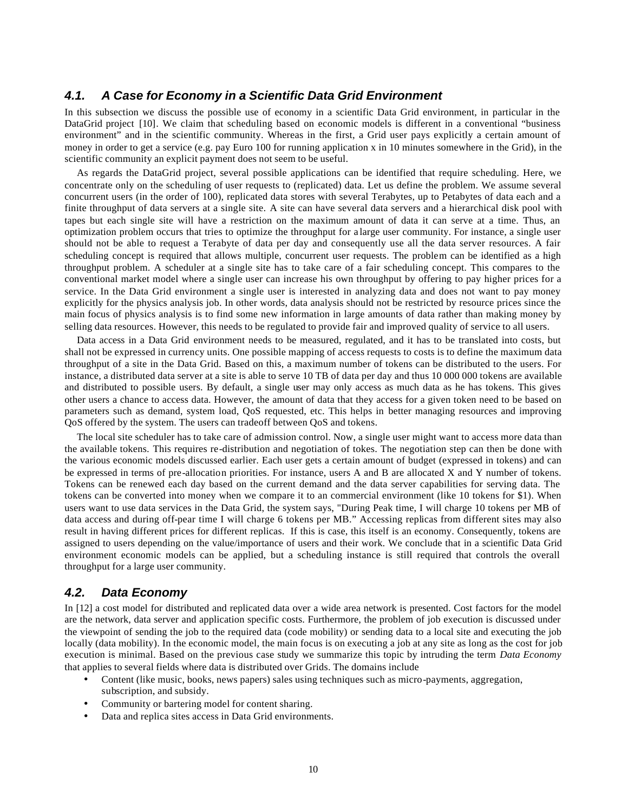## *4.1. A Case for Economy in a Scientific Data Grid Environment*

In this subsection we discuss the possible use of economy in a scientific Data Grid environment, in particular in the DataGrid project [10]. We claim that scheduling based on economic models is different in a conventional "business environment" and in the scientific community. Whereas in the first, a Grid user pays explicitly a certain amount of money in order to get a service (e.g. pay Euro 100 for running application x in 10 minutes somewhere in the Grid), in the scientific community an explicit payment does not seem to be useful.

As regards the DataGrid project, several possible applications can be identified that require scheduling. Here, we concentrate only on the scheduling of user requests to (replicated) data. Let us define the problem. We assume several concurrent users (in the order of 100), replicated data stores with several Terabytes, up to Petabytes of data each and a finite throughput of data servers at a single site. A site can have several data servers and a hierarchical disk pool with tapes but each single site will have a restriction on the maximum amount of data it can serve at a time. Thus, an optimization problem occurs that tries to optimize the throughput for a large user community. For instance, a single user should not be able to request a Terabyte of data per day and consequently use all the data server resources. A fair scheduling concept is required that allows multiple, concurrent user requests. The problem can be identified as a high throughput problem. A scheduler at a single site has to take care of a fair scheduling concept. This compares to the conventional market model where a single user can increase his own throughput by offering to pay higher prices for a service. In the Data Grid environment a single user is interested in analyzing data and does not want to pay money explicitly for the physics analysis job. In other words, data analysis should not be restricted by resource prices since the main focus of physics analysis is to find some new information in large amounts of data rather than making money by selling data resources. However, this needs to be regulated to provide fair and improved quality of service to all users.

Data access in a Data Grid environment needs to be measured, regulated, and it has to be translated into costs, but shall not be expressed in currency units. One possible mapping of access requests to costs is to define the maximum data throughput of a site in the Data Grid. Based on this, a maximum number of tokens can be distributed to the users. For instance, a distributed data server at a site is able to serve 10 TB of data per day and thus 10 000 000 tokens are available and distributed to possible users. By default, a single user may only access as much data as he has tokens. This gives other users a chance to access data. However, the amount of data that they access for a given token need to be based on parameters such as demand, system load, QoS requested, etc. This helps in better managing resources and improving QoS offered by the system. The users can tradeoff between QoS and tokens.

The local site scheduler has to take care of admission control. Now, a single user might want to access more data than the available tokens. This requires re-distribution and negotiation of tokes. The negotiation step can then be done with the various economic models discussed earlier. Each user gets a certain amount of budget (expressed in tokens) and can be expressed in terms of pre-allocation priorities. For instance, users A and B are allocated X and Y number of tokens. Tokens can be renewed each day based on the current demand and the data server capabilities for serving data. The tokens can be converted into money when we compare it to an commercial environment (like 10 tokens for \$1). When users want to use data services in the Data Grid, the system says, "During Peak time, I will charge 10 tokens per MB of data access and during off-pear time I will charge 6 tokens per MB." Accessing replicas from different sites may also result in having different prices for different replicas. If this is case, this itself is an economy. Consequently, tokens are assigned to users depending on the value/importance of users and their work. We conclude that in a scientific Data Grid environment economic models can be applied, but a scheduling instance is still required that controls the overall throughput for a large user community.

## *4.2. Data Economy*

In [12] a cost model for distributed and replicated data over a wide area network is presented. Cost factors for the model are the network, data server and application specific costs. Furthermore, the problem of job execution is discussed under the viewpoint of sending the job to the required data (code mobility) or sending data to a local site and executing the job locally (data mobility). In the economic model, the main focus is on executing a job at any site as long as the cost for job execution is minimal. Based on the previous case study we summarize this topic by intruding the term *Data Economy* that applies to several fields where data is distributed over Grids. The domains include

- Content (like music, books, news papers) sales using techniques such as micro-payments, aggregation, subscription, and subsidy.
- Community or bartering model for content sharing.
- Data and replica sites access in Data Grid environments.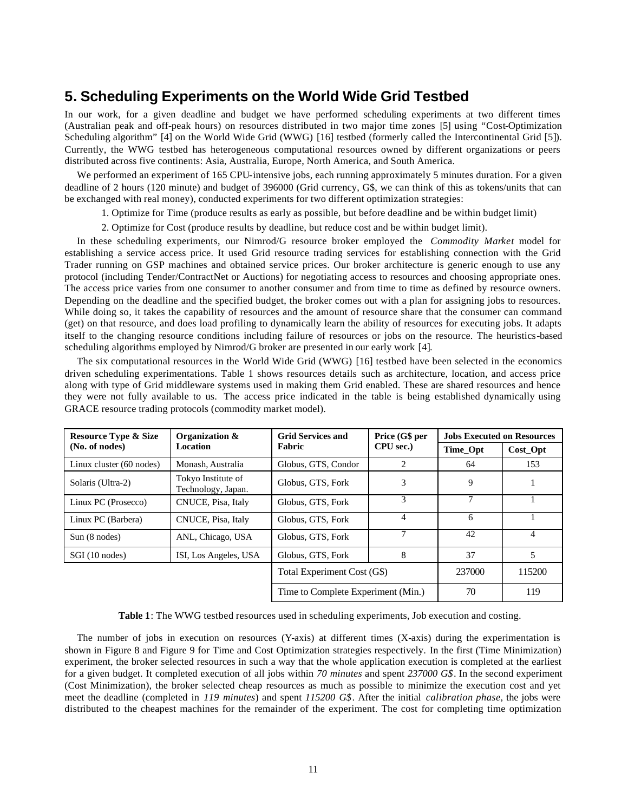# **5. Scheduling Experiments on the World Wide Grid Testbed**

In our work, for a given deadline and budget we have performed scheduling experiments at two different times (Australian peak and off-peak hours) on resources distributed in two major time zones [5] using "Cost-Optimization Scheduling algorithm" [4] on the World Wide Grid (WWG) [16] testbed (formerly called the Intercontinental Grid [5]). Currently, the WWG testbed has heterogeneous computational resources owned by different organizations or peers distributed across five continents: Asia, Australia, Europe, North America, and South America.

We performed an experiment of 165 CPU-intensive jobs, each running approximately 5 minutes duration. For a given deadline of 2 hours (120 minute) and budget of 396000 (Grid currency, G\$, we can think of this as tokens/units that can be exchanged with real money), conducted experiments for two different optimization strategies:

- 1. Optimize for Time (produce results as early as possible, but before deadline and be within budget limit)
- 2. Optimize for Cost (produce results by deadline, but reduce cost and be within budget limit).

In these scheduling experiments, our Nimrod/G resource broker employed the *Commodity Market* model for establishing a service access price. It used Grid resource trading services for establishing connection with the Grid Trader running on GSP machines and obtained service prices. Our broker architecture is generic enough to use any protocol (including Tender/ContractNet or Auctions) for negotiating access to resources and choosing appropriate ones. The access price varies from one consumer to another consumer and from time to time as defined by resource owners. Depending on the deadline and the specified budget, the broker comes out with a plan for assigning jobs to resources. While doing so, it takes the capability of resources and the amount of resource share that the consumer can command (get) on that resource, and does load profiling to dynamically learn the ability of resources for executing jobs. It adapts itself to the changing resource conditions including failure of resources or jobs on the resource. The heuristics-based scheduling algorithms employed by Nimrod/G broker are presented in our early work [4].

The six computational resources in the World Wide Grid (WWG) [16] testbed have been selected in the economics driven scheduling experimentations. Table 1 shows resources details such as architecture, location, and access price along with type of Grid middleware systems used in making them Grid enabled. These are shared resources and hence they were not fully available to us. The access price indicated in the table is being established dynamically using GRACE resource trading protocols (commodity market model).

| <b>Resource Type &amp; Size</b><br>(No. of nodes) | Organization &<br><b>Location</b>        | <b>Grid Services and</b><br>Fabric | Price (G\$ per<br><b>CPU</b> sec. | <b>Jobs Executed on Resources</b> |          |
|---------------------------------------------------|------------------------------------------|------------------------------------|-----------------------------------|-----------------------------------|----------|
|                                                   |                                          |                                    |                                   | Time Opt                          | Cost_Opt |
| Linux cluster (60 nodes)                          | Monash, Australia                        | Globus, GTS, Condor                | 2                                 | 64                                | 153      |
| Solaris (Ultra-2)                                 | Tokyo Institute of<br>Technology, Japan. | Globus, GTS, Fork                  | 3                                 | 9                                 | л.       |
| Linux PC (Prosecco)                               | CNUCE, Pisa, Italy                       | Globus, GTS, Fork                  | 3                                 | 7                                 |          |
| Linux PC (Barbera)                                | CNUCE, Pisa, Italy                       | Globus, GTS, Fork                  | 4                                 | 6                                 |          |
| Sun (8 nodes)                                     | ANL, Chicago, USA                        | Globus, GTS, Fork                  |                                   | 42                                | 4        |
| SGI (10 nodes)                                    | ISI, Los Angeles, USA                    | Globus, GTS, Fork                  | 8                                 | 37                                | 5        |
|                                                   |                                          | Total Experiment Cost (G\$)        |                                   | 237000                            | 115200   |
|                                                   |                                          | Time to Complete Experiment (Min.) |                                   | 70                                | 119      |

**Table 1**: The WWG testbed resources used in scheduling experiments, Job execution and costing.

The number of jobs in execution on resources (Y-axis) at different times (X-axis) during the experimentation is shown in Figure 8 and Figure 9 for Time and Cost Optimization strategies respectively. In the first (Time Minimization) experiment, the broker selected resources in such a way that the whole application execution is completed at the earliest for a given budget. It completed execution of all jobs within *70 minutes* and spent *237000 G\$*. In the second experiment (Cost Minimization), the broker selected cheap resources as much as possible to minimize the execution cost and yet meet the deadline (completed in *119 minutes*) and spent *115200 G\$*. After the initial *calibration phase*, the jobs were distributed to the cheapest machines for the remainder of the experiment. The cost for completing time optimization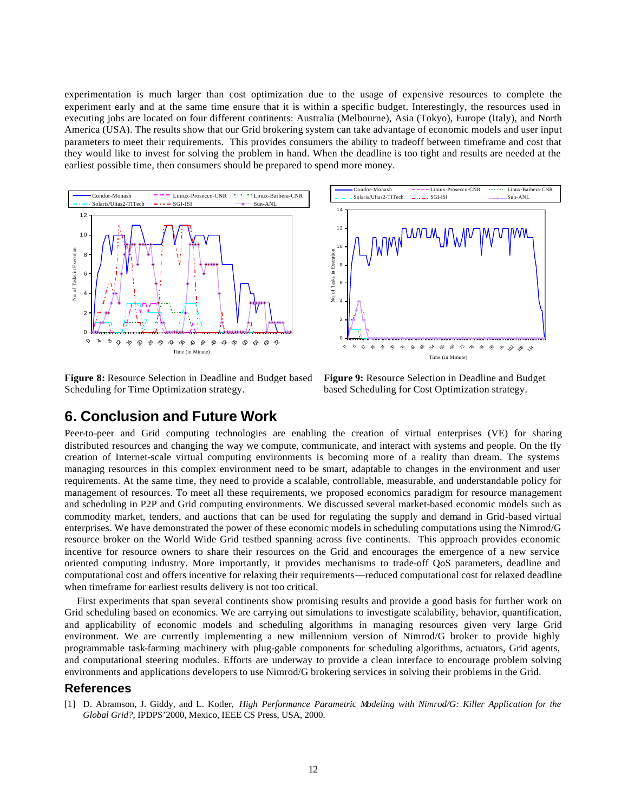experimentation is much larger than cost optimization due to the usage of expensive resources to complete the experiment early and at the same time ensure that it is within a specific budget. Interestingly, the resources used in executing jobs are located on four different continents: Australia (Melbourne), Asia (Tokyo), Europe (Italy), and North America (USA). The results show that our Grid brokering system can take advantage of economic models and user input parameters to meet their requirements. This provides consumers the ability to tradeoff between timeframe and cost that they would like to invest for solving the problem in hand. When the deadline is too tight and results are needed at the earliest possible time, then consumers should be prepared to spend more money.



**Figure 8:** Resource Selection in Deadline and Budget based Scheduling for Time Optimization strategy.



**Figure 9:** Resource Selection in Deadline and Budget based Scheduling for Cost Optimization strategy.

# **6. Conclusion and Future Work**

Peer-to-peer and Grid computing technologies are enabling the creation of virtual enterprises (VE) for sharing distributed resources and changing the way we compute, communicate, and interact with systems and people. On the fly creation of Internet-scale virtual computing environments is becoming more of a reality than dream. The systems managing resources in this complex environment need to be smart, adaptable to changes in the environment and user requirements. At the same time, they need to provide a scalable, controllable, measurable, and understandable policy for management of resources. To meet all these requirements, we proposed economics paradigm for resource management and scheduling in P2P and Grid computing environments. We discussed several market-based economic models such as commodity market, tenders, and auctions that can be used for regulating the supply and demand in Grid-based virtual enterprises. We have demonstrated the power of these economic models in scheduling computations using the Nimrod/G resource broker on the World Wide Grid testbed spanning across five continents. This approach provides economic incentive for resource owners to share their resources on the Grid and encourages the emergence of a new service oriented computing industry. More importantly, it provides mechanisms to trade-off QoS parameters, deadline and computational cost and offers incentive for relaxing their requirements—reduced computational cost for relaxed deadline when timeframe for earliest results delivery is not too critical.

First experiments that span several continents show promising results and provide a good basis for further work on Grid scheduling based on economics. We are carrying out simulations to investigate scalability, behavior, quantification, and applicability of economic models and scheduling algorithms in managing resources given very large Grid environment. We are currently implementing a new millennium version of Nimrod/G broker to provide highly programmable task-farming machinery with plug-gable components for scheduling algorithms, actuators, Grid agents, and computational steering modules. Efforts are underway to provide a clean interface to encourage problem solving environments and applications developers to use Nimrod/G brokering services in solving their problems in the Grid.

#### **References**

[1] D. Abramson, J. Giddy, and L. Kotler, *High Performance Parametric Modeling with Nimrod/G: Killer Application for the Global Grid?*, IPDPS'2000, Mexico, IEEE CS Press, USA, 2000.